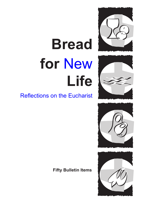

# **Bread for** New **Life**



### Reflections on the Eucharist





**Fifty Bulletin Items**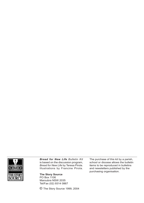

*Bread for New Life Bulletin Kit*  is based on the discussion program, *Bread for New Life* by Teresa Pirola. Illustrations by Francine Pirola.

**The Story Source** PO Box 1106 Maroubra NSW 2035 Tel/Fax (02) 9314 0867

© The Story Source 1999, 2004

The purchase of this kit by a parish, school or diocese allows the bulletin items to be reproduced in bulletins and newsletters published by the purchasing organisation.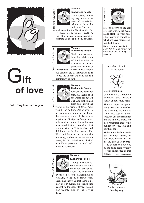

# G**ift of love**

that I may live within you



#### **We are a**

#### **Eucharistic People**

The Eucharist is that mystery of faith at the heart of Christianity which has been described as 'the source

and summit of the Christian life'.The Eucharist is a gift of intimacy; it is God's way of loving us, enlivening us, transforming us as one the body of Christ.

**We are a** 



#### **Eucharistic People**

Each time we enter into the celebration of the Eucharist we are entering into a profound prayer of

*thanksgiving* which celebrates all God has done for us, all that God calls us to be, and all that we stand for as a community of faith.



#### **We are a Eucharistic People**

who declare our belief that 2000 years ago, in the womb of a Jewish girl, God took human flesh and entered the

world in the person of Jesus. Why would God do this? Out of love. To love someone is to want to truly know that person, to be one with that person, to get 'inside' that person's experience of life and let him/her know that you understand, that he is not alone, that you are with her. This is what God did for us in the Incarnation. The Word took flesh so as to be one with humanity; to show us that we are not alone, that God is intimately 'inside' us, with us, present to us in all life's joys and heartaches.

### Year of the Eucharist Year of the Eucharist

#### **We are a**



God shows us how much we are loved. From the mundane

events of life, to the darkest hour of Calvary, to the joy of resurrection Jesus has shown us that there is no part of our human experience that cannot be touched, blessed, healed and transformed by the Divine Love.



Year of the Eucharist

St John described the gift of Jesus Christ, the Word made flesh, in very tangible terms: as something which we have heard, seen, watched, touched. Year of the Eucharist

Read John's words in 1 John 1:1-14 and reflect for a few moments on the gift of salvation.



This is an important opportunity to stop and remember the blessings we receive from God, especially our food, the gift of one another and the faith we share. We also remember those who hunger for food, love and spiritual hope.

Make grace before meals part of your family or household routine. If it is already part of your practice, consider how you might bring fresh vitality to your experience of this prayer. Year of the Eucharist



*The word 'eucharist' means 'thanksgiving'*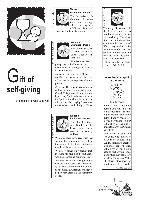

# G**ift of self-giving**

on the night he was betrayed



#### **We are a**

**Eucharistic People** The Eucharistic celebration is the sacramental action through which the mystery

of Christ's death and

**Eucharistic People** As a Church we speak of the sacrament of the Eucharist in

*Thanksgiving:* We

resurrection is made present.

**We are a** 

terms of:

give praise to the Father for redeeming us and calling us to share

*Memorial:* We remember Christ's sacrifice, not just as the recollection of the past, but as experienced in the

*Presence*: The same Christ who died and rose again is present today in his Church. This presence is brought about by the Holy Spirit. When we call upon the Spirit to transform the bread and wine, we are also praying for our own transformation as the body of Christ.

**We are a** 

in the divine life.

present.

Year of the Eucharist

lear of the Eucharist

Year of the Eucharist Year of the Eucharist

> The early Christians took the Lord's command to 'do this in memory of me' very seriously. The ritual 'breaking of the bread' became central to their way of life. As they drank from the 'cup of salvation' they recognised themselves to be the New Israel, the people of the new covenant.

Read about the early Christians in Acts 2:42-47.



Family rituals are simple human acts which point to a deeper truth: the sharing of life and faith in the home. Family rituals are a way of passing on our faith. They also help us to understand why the Church has rituals.

What rituals do you have (or could you institute) in your household? e.g. Sunday morning pancakes after Mass. Trace the sign of the cross on your child's head as part of your 'good night' ritual. Pray the rosary on a long car journey. Make Christmas gift hampers for families in material need.

Year of the Eucharist



### Year of the Eucharist ear of the Eucharist



#### The Church gathers each Sunday, in the Lord's name, to be

nourished by his body and blood.

We do so because we recognise that we are the descendents in faith of those earliest Christians; we too are people of the new covenant.

We do so because we recognise that, in loving his people to the end, Jesus was also sacrificing his life for us.

We do so because on the night before he went to his death, *Jesus asked this of us*. How contradictory it would be to call ourselves Christians and then to neglect his words: 'Do this in memory of me.'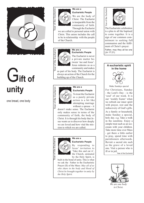

# G**ift of unity**

one bread, one body



#### **We are a**

#### **Eucharistic People**

We are the body of Christ. The Eucharist is inseparable from the community of faith. Through the Eucharist

we are called to personal union with Christ. This union includes the call to be in relationship with the people of the Church.

**We are a** 



#### **Eucharistic People** The Eucharist is never a private matter be -

tween 'me and Jesus'. Jesus redeems us as a community and makes

us part of his body. The Eucharist is always an action of the Church for the building up of the Church.

**We are a** 



#### **Eucharistic People**

To treat the Eucharist as a purely private action is a bit like attempting marriage without a spouse - it

doesn't make sense. The Eucharist only makes sense in terms of the community of faith, the body of Christ. It is through his body that Je sus wants us to discover how deeply we are loved and how vital the mis sion to which we are called.



#### **We are a Eucharistic People**

By responding to Jesus' invitation to 'Take this and eat it' the Church, animated by the Holy Spirit, is

built in the bond of unity. This is what we ask the Father in the Eucharistic Prayer (II) of the Mass: *May all of us who share in the body and blood of Christ be brought together in unity by the Holy Spirit.*



Year of the Eucharist

Year of the Eucharist

The Eucharistic celebration is a plea to all the baptised to come together. It is a sign of our common com mitment to seeking full communion and the fulfil ment of Christ's prayer: Father, may they all be one (Jn 17:21).



Revisit a sacred site such as the grave of a loved one. Visit a person who is ill or in jail.

.<br>Year of the Eucharist



*in Christ.*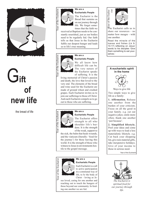

## G**ift of new life**

the bread of life



#### **We are a**

#### **Eucharistic People**

The Eucharist is the Bread that sustains us on our journey through life. We forget some times that the faith we

received at Baptism needs to be con stantly nourished, just as our bodies need to be regularly fed. Our faith tells us that Jesus in the Eucharist fulfils our deepest hunger and leads us to life's true meaning.



#### **Eucharistic People**

We all know how difficult life can be. The very nature of the Eucharist speaks of suffering. It is the

living memorial of Christ's passion and death, the love that loved to the very end. The elements of the bread and wine used for the Eucharist are made of ground wheat and crushed grapes. Each Eucharist invites us to join our sufferings to those of Christ. And each Eucharist compels us to go out to those who are suffering.

**We are a** 



#### **Eucharistic People**

The Eucharist offers strength to all who shoulder life's bur dens. It is the strength of the weak, support to

the sick, the balm that heals wounds, and the viaticum (literally: 'food for the journey') for those leaving this world. It is the strength of those who witness to Jesus in environments hos tile to the gospel message.

**We are a** 

### Year of the Eucharist Year of the Eucharist

#### **Eucharistic People**

Each Eucharist is a call to active participation in a communal way of life, to *be* the body of Christ - loving as Je -

sus loved, caring for one another and reaching out to touch the hungers of those beyond our community. In feed ing one another we are fed.



ear of the Eucha-

The Eucharist calls us to share our resources - no matter how meagre - with one another. Year of the Eucha-

Read the miracle of the loaves and fishes (Lk 9: 10-17) reflecting on Jesus' words to his disciples 'Give them something to eat your - **We are a** selves.'

#### **A eucharistic spirit in the home**



Ways to give life Two simple ways to give life as a family:

**1. Affirmation.** Release one another from the burden of your criticism. Focus on all the good in your family. e.g. cut out negative jokes; smile more often; thank one another 'just because'.

#### **2. Simplified lifestyle.**

Pool your ideas and come up with ways to lead a less materialistic lifestyle. e.g. Cut back your shopping list, give non-material gifts, take inexpensive holidays. Give of your income to those in serious need.

Year of the Eucharist



*The Eucharist is spiritual food for our journey through life.*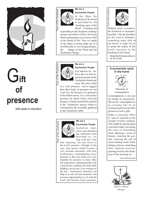

## G**ift of presence**

faith leads to adoration



#### **We are a**

**Eucharistic People**

In the Mass the breaking of the bread is preceded by the 'breaking open of the Word'. Listening and

responding to the Scripture readings arouses our faith in Christ, the living Word, and prepares us to receive him in the Bread of life. Thus we speak of the Mass as being made up of a twofold table or two liturgical parts: the liturgy of the Word and the Eucharistic liturgy.



#### **Eucharistic People**

As Catholics we be lieve that we find Je sus truly present in the Eucharistic bread and wine. We refer to this

as a 'real' presence - not to suggest that other kinds of presence are not 'real' too, but because it is presence in the fullest sense; it is a *substantial*  presence by which Christ, God and human, is wholly and entirely present in the Eucharistic species which is consumed by the assembly gathered at the Eucharistic table.



#### **Eucharistic People**

**We are a** 

Eucharistic expo sition and adoration has sometimes been described as 'sit ting with the Lord'

and 'exposing' our true selves to the Lord's presence. Thought of this way, such prayer rituals become a very intimate encounter with God. Furthermore, contemplating Jesus' presence in this way leads us to con template his presence in many other life experiences. Sitting patiently with a sick person, cradling a feverish child, holding a loved one, even waiting for the bus - Eucharistic adoration can help us to turn all such moments into precious opportunities to 'sit with the Lord' and treasure God's presence.



lear of the Eucharist

Without God's revelation, the Eucharist is incompre hensible. Like the disciples on the road to Emmaus, something must shift in our hearts in order for us to grasp the reality of the Lord's presence in the breaking of the bread. Year of the Eucharist

Read the Emmaus story in Lk 24:13-35.





Moments of contemplation

Contemplation is not just for monks in monasteries. We can be 'contemplatives in everyday life' by al lowing ourselves to be fully present to God's gifts.

Make a conscious effort to 'tune in' each day to the wonder of God's creation. This might be gazing upon a newborn baby, savouring the taste of nourishing food, admiring a scene of beauty, watering the gar den, enjoying the gift of clean running water while taking a shower, stretching after vigorous exercise, pausing to notice the fresh ness of the morning air.

Year of the Eucharist



*God is with us always.*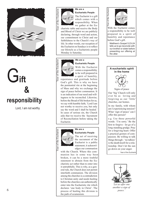

### G**ift & responsibility**

Lord, I am not worthy



#### **We are a**

**Eucharistic People**

The Eucharist is a gift which comes with a responsibility. When we gather at the Eu -

charistic table and receive the Body and Blood of Christ we are publicly declaring, through word and action, our commitment to Christ and our faithfulness to the Church's way of life. In other words, our reception of the Eucharist on Sundays is to reflect our lifestyle as a Eucharistic people Monday to Saturday.



#### **We are a Eucharistic People**

With the Eucharist comes a responsibility to be well prepared in a spirit of humility,

repentance and gratitude before God's gift. This is why we have the penitential rite at the beginning of Mass and why we exchange the sign of peace before communion. It is an indication of our need and will ingness to be reconciled. Likewise, before the Bread of life broken for us, we say with humble faith, 'Lord I am not worthy to receive you, but only say the word and I shall be healed.' In cases of serious sin, the Church asks that we receive the Sacrament of Reconciliation before taking the Eucharist.



#### **We are a Eucharistic People**

The act of receiving the sacrament of the Eucharist is a public statement; it acknowl edges our communion

with the Church. Where this communion has in some way been broken, it can be a more truthful statement to abstain from the Eu charistic act rather than to enter into it untruthfully. This is why, as a gen eral rule, the Church does not permit interfaith communion. The division among the churches is a contradiction to Christian unity and needs healing before the churches can authentically enter into the Eucharistic rite which declares 'one body in Christ'. The process of healing this division is the path of ecumenism.



ear of the Eucharist

With the Eucharist comes a responsibility to be well prepared in a spirit of humility and repentance before God's gift. Year of the Eucharist

Matthew's Gospel 5:23-24 tells us to go reconcile with our brother or sister before presenting our offering at the altar.





Signs of peace Our 'big' Church will only ever be as loving and forgiving as our 'little' churches, our homes.

In my family, with whom am I experiencing tension? What 'sign of peace' can I offer this person?

e.g. Use those powerful words: 'I'm sorry.' Be the first to forgive - let go of a long-standing grudge. Pray for a forgiving heart. Offer a practical gesture of com passion. Be willing to talk things through - 'no talkies' is the death knoll for a rela tionship. Don't let the sun go down on your anger.

Year of the Eucharist



*'Let us offer one another a sign of peace.'*

Year of the Eucharist Year of the Eucharist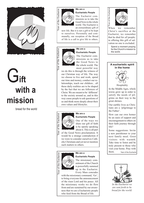

### G**ift with a mission**

bread for the world



#### **We are a**

**Eucharistic People**

The Eucharist com missions us to take the Good News to the whole world. The Eucharist is an extraordinary gift of

new life. But it is not a gift to be kept to ourselves. Personally and com munally, our reception of the Bread of life is a call to give life to others.

**We are a** 



#### **Eucharistic People**

The Eucharist com missions us to take the Good News to the whole world. The most powerful way

we do this is through the witness of our Christian way of life. The way we choose to live and work, spend our time and money, conduct our re lationships, teach our children... all these daily realities are to be shaped by the fact that we are followers of Christ. We are meant to be 'different' to the society around us, and in this way cause people to ask questions of us and think more deeply about their own values and lifestyles.



#### **We are a Eucharistic People**

One of the ways we share our gift of faith is by openly speaking about it. This is all part

of the Good News proclamation. It would be a strange contradiction if we were to consider ourselves Cath olic Christians and yet never mention such matters to others.

**We are a** 



#### **Eucharistic People**

The missionary com mitment of the Church is powerfully summed up in the Eucharist. Every Mass concudes

with the missionary command, 'Go', to bring everyone the announcement of the risen Lord and his peace. All the missionary works we do flow from and are sustained by our aware ness that we are a Eucharistic people who feed from the Bread of life.



Christ's sacrifice at the Eucharist, we remember that he died for *all* people; in offering this gift of sal vation no one is excluded. Year of the Eucharist

Spend a moment praying for the Church's mission to the world.





**Hospitality** 

In the Middle Ages, whole towns grew up in order to satisfy the needs of pil grims on their way to the great shrines.

Our earthly lives as Chris tians are a 'pilgrimage to the Father'.

How can our own homes be an oasis of support and encouragement to others on their faith journey through life?

Some suggestions: Invite a new parishioner to your next family meal. Greet visitors with warmth. Take time to listen and be truly present to those who visit your home. Pray with them. Year of the Eucharist



*In the Eucharist we are sent forth to be bread for the world.*